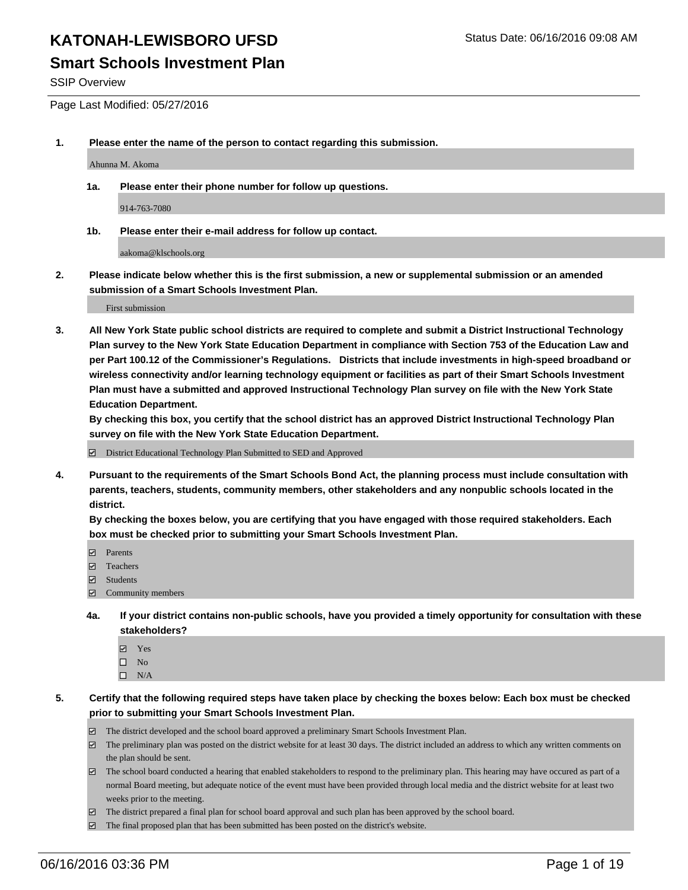SSIP Overview

Page Last Modified: 05/27/2016

**1. Please enter the name of the person to contact regarding this submission.**

Ahunna M. Akoma

**1a. Please enter their phone number for follow up questions.**

914-763-7080

**1b. Please enter their e-mail address for follow up contact.**

aakoma@klschools.org

**2. Please indicate below whether this is the first submission, a new or supplemental submission or an amended submission of a Smart Schools Investment Plan.**

First submission

**3. All New York State public school districts are required to complete and submit a District Instructional Technology Plan survey to the New York State Education Department in compliance with Section 753 of the Education Law and per Part 100.12 of the Commissioner's Regulations. Districts that include investments in high-speed broadband or wireless connectivity and/or learning technology equipment or facilities as part of their Smart Schools Investment Plan must have a submitted and approved Instructional Technology Plan survey on file with the New York State Education Department.** 

**By checking this box, you certify that the school district has an approved District Instructional Technology Plan survey on file with the New York State Education Department.**

District Educational Technology Plan Submitted to SED and Approved

**4. Pursuant to the requirements of the Smart Schools Bond Act, the planning process must include consultation with parents, teachers, students, community members, other stakeholders and any nonpublic schools located in the district.** 

**By checking the boxes below, you are certifying that you have engaged with those required stakeholders. Each box must be checked prior to submitting your Smart Schools Investment Plan.**

- Parents
- Teachers
- $\blacksquare$  Students
- Community members
- **4a. If your district contains non-public schools, have you provided a timely opportunity for consultation with these stakeholders?**
	- Yes  $\square$  No
	- $\square$  N/A
- **5. Certify that the following required steps have taken place by checking the boxes below: Each box must be checked prior to submitting your Smart Schools Investment Plan.**
	- The district developed and the school board approved a preliminary Smart Schools Investment Plan.
	- $\Box$  The preliminary plan was posted on the district website for at least 30 days. The district included an address to which any written comments on the plan should be sent.
	- $\Box$  The school board conducted a hearing that enabled stakeholders to respond to the preliminary plan. This hearing may have occured as part of a normal Board meeting, but adequate notice of the event must have been provided through local media and the district website for at least two weeks prior to the meeting.
	- The district prepared a final plan for school board approval and such plan has been approved by the school board.
	- $\boxdot$  The final proposed plan that has been submitted has been posted on the district's website.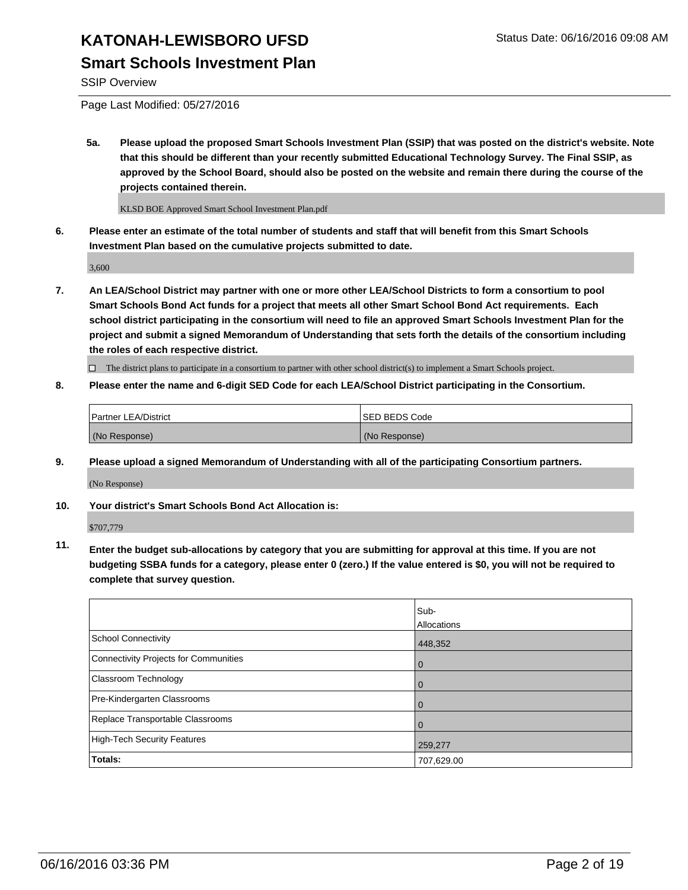#### **KATONAH-LEWISBORO UFSD** Status Date: 06/16/2016 09:08 AM **Smart Schools Investment Plan**

SSIP Overview

Page Last Modified: 05/27/2016

**5a. Please upload the proposed Smart Schools Investment Plan (SSIP) that was posted on the district's website. Note that this should be different than your recently submitted Educational Technology Survey. The Final SSIP, as approved by the School Board, should also be posted on the website and remain there during the course of the projects contained therein.**

KLSD BOE Approved Smart School Investment Plan.pdf

**6. Please enter an estimate of the total number of students and staff that will benefit from this Smart Schools Investment Plan based on the cumulative projects submitted to date.**

3,600

**7. An LEA/School District may partner with one or more other LEA/School Districts to form a consortium to pool Smart Schools Bond Act funds for a project that meets all other Smart School Bond Act requirements. Each school district participating in the consortium will need to file an approved Smart Schools Investment Plan for the project and submit a signed Memorandum of Understanding that sets forth the details of the consortium including the roles of each respective district.**

 $\Box$  The district plans to participate in a consortium to partner with other school district(s) to implement a Smart Schools project.

**8. Please enter the name and 6-digit SED Code for each LEA/School District participating in the Consortium.**

| <b>Partner LEA/District</b> | ISED BEDS Code |
|-----------------------------|----------------|
| (No Response)               | (No Response)  |

**9. Please upload a signed Memorandum of Understanding with all of the participating Consortium partners.**

(No Response)

**10. Your district's Smart Schools Bond Act Allocation is:**

\$707,779

**11. Enter the budget sub-allocations by category that you are submitting for approval at this time. If you are not budgeting SSBA funds for a category, please enter 0 (zero.) If the value entered is \$0, you will not be required to complete that survey question.**

|                                       | Sub-        |
|---------------------------------------|-------------|
|                                       | Allocations |
| <b>School Connectivity</b>            | 448,352     |
| Connectivity Projects for Communities | $\Omega$    |
| Classroom Technology                  | 0           |
| Pre-Kindergarten Classrooms           | $\Omega$    |
| Replace Transportable Classrooms      | $\Omega$    |
| High-Tech Security Features           | 259,277     |
| <b>Totals:</b>                        | 707,629.00  |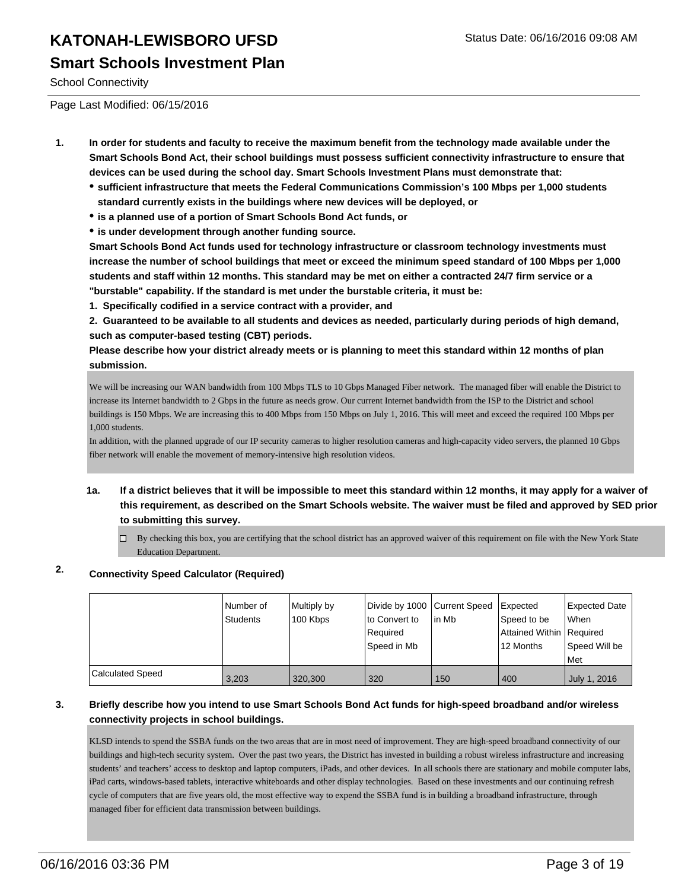School Connectivity

Page Last Modified: 06/15/2016

- **1. In order for students and faculty to receive the maximum benefit from the technology made available under the Smart Schools Bond Act, their school buildings must possess sufficient connectivity infrastructure to ensure that devices can be used during the school day. Smart Schools Investment Plans must demonstrate that:**
	- **sufficient infrastructure that meets the Federal Communications Commission's 100 Mbps per 1,000 students standard currently exists in the buildings where new devices will be deployed, or**
	- **is a planned use of a portion of Smart Schools Bond Act funds, or**
	- **is under development through another funding source.**

**Smart Schools Bond Act funds used for technology infrastructure or classroom technology investments must increase the number of school buildings that meet or exceed the minimum speed standard of 100 Mbps per 1,000 students and staff within 12 months. This standard may be met on either a contracted 24/7 firm service or a "burstable" capability. If the standard is met under the burstable criteria, it must be:**

**1. Specifically codified in a service contract with a provider, and**

**2. Guaranteed to be available to all students and devices as needed, particularly during periods of high demand, such as computer-based testing (CBT) periods.**

**Please describe how your district already meets or is planning to meet this standard within 12 months of plan submission.**

We will be increasing our WAN bandwidth from 100 Mbps TLS to 10 Gbps Managed Fiber network. The managed fiber will enable the District to increase its Internet bandwidth to 2 Gbps in the future as needs grow. Our current Internet bandwidth from the ISP to the District and school buildings is 150 Mbps. We are increasing this to 400 Mbps from 150 Mbps on July 1, 2016. This will meet and exceed the required 100 Mbps per 1,000 students.

In addition, with the planned upgrade of our IP security cameras to higher resolution cameras and high-capacity video servers, the planned 10 Gbps fiber network will enable the movement of memory-intensive high resolution videos.

- **1a. If a district believes that it will be impossible to meet this standard within 12 months, it may apply for a waiver of this requirement, as described on the Smart Schools website. The waiver must be filed and approved by SED prior to submitting this survey.**
	- $\Box$  By checking this box, you are certifying that the school district has an approved waiver of this requirement on file with the New York State Education Department.

#### **2. Connectivity Speed Calculator (Required)**

|                         | Number of<br>Students | Multiply by<br>100 Kbps | Divide by 1000 Current Speed<br>lto Convert to<br>Reauired<br>Speed in Mb | lin Mb | <b>Expected</b><br>Speed to be<br>Attained Within   Required<br>12 Months | Expected Date<br>l When<br>Speed Will be |
|-------------------------|-----------------------|-------------------------|---------------------------------------------------------------------------|--------|---------------------------------------------------------------------------|------------------------------------------|
|                         |                       |                         |                                                                           |        |                                                                           | l Met                                    |
| <b>Calculated Speed</b> | 3,203                 | 320,300                 | 320                                                                       | 150    | 400                                                                       | July 1, 2016                             |

#### **3. Briefly describe how you intend to use Smart Schools Bond Act funds for high-speed broadband and/or wireless connectivity projects in school buildings.**

KLSD intends to spend the SSBA funds on the two areas that are in most need of improvement. They are high-speed broadband connectivity of our buildings and high-tech security system. Over the past two years, the District has invested in building a robust wireless infrastructure and increasing students' and teachers' access to desktop and laptop computers, iPads, and other devices. In all schools there are stationary and mobile computer labs, iPad carts, windows-based tablets, interactive whiteboards and other display technologies. Based on these investments and our continuing refresh cycle of computers that are five years old, the most effective way to expend the SSBA fund is in building a broadband infrastructure, through managed fiber for efficient data transmission between buildings.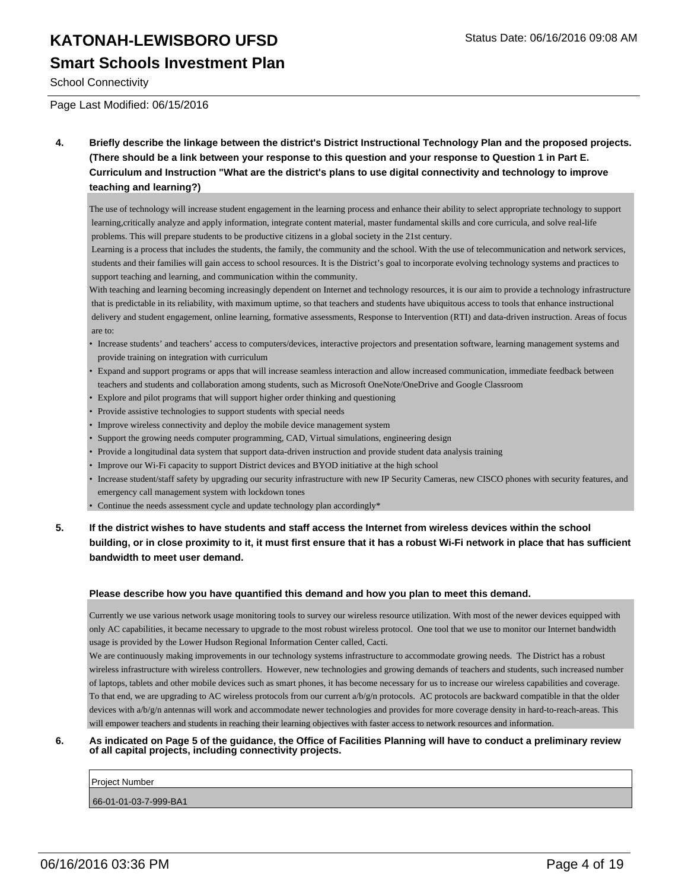#### **Smart Schools Investment Plan**

School Connectivity

Page Last Modified: 06/15/2016

**4. Briefly describe the linkage between the district's District Instructional Technology Plan and the proposed projects. (There should be a link between your response to this question and your response to Question 1 in Part E. Curriculum and Instruction "What are the district's plans to use digital connectivity and technology to improve teaching and learning?)**

The use of technology will increase student engagement in the learning process and enhance their ability to select appropriate technology to support learning,critically analyze and apply information, integrate content material, master fundamental skills and core curricula, and solve real-life problems. This will prepare students to be productive citizens in a global society in the 21st century.

 Learning is a process that includes the students, the family, the community and the school. With the use of telecommunication and network services, students and their families will gain access to school resources. It is the District's goal to incorporate evolving technology systems and practices to support teaching and learning, and communication within the community.

With teaching and learning becoming increasingly dependent on Internet and technology resources, it is our aim to provide a technology infrastructure that is predictable in its reliability, with maximum uptime, so that teachers and students have ubiquitous access to tools that enhance instructional delivery and student engagement, online learning, formative assessments, Response to Intervention (RTI) and data-driven instruction. Areas of focus are to:

- Increase students' and teachers' access to computers/devices, interactive projectors and presentation software, learning management systems and provide training on integration with curriculum
- Expand and support programs or apps that will increase seamless interaction and allow increased communication, immediate feedback between teachers and students and collaboration among students, such as Microsoft OneNote/OneDrive and Google Classroom
- Explore and pilot programs that will support higher order thinking and questioning
- Provide assistive technologies to support students with special needs
- Improve wireless connectivity and deploy the mobile device management system
- Support the growing needs computer programming, CAD, Virtual simulations, engineering design
- Provide a longitudinal data system that support data-driven instruction and provide student data analysis training
- Improve our Wi-Fi capacity to support District devices and BYOD initiative at the high school
- Increase student/staff safety by upgrading our security infrastructure with new IP Security Cameras, new CISCO phones with security features, and emergency call management system with lockdown tones
- Continue the needs assessment cycle and update technology plan accordingly\*
- **5. If the district wishes to have students and staff access the Internet from wireless devices within the school building, or in close proximity to it, it must first ensure that it has a robust Wi-Fi network in place that has sufficient bandwidth to meet user demand.**

#### **Please describe how you have quantified this demand and how you plan to meet this demand.**

Currently we use various network usage monitoring tools to survey our wireless resource utilization. With most of the newer devices equipped with only AC capabilities, it became necessary to upgrade to the most robust wireless protocol. One tool that we use to monitor our Internet bandwidth usage is provided by the Lower Hudson Regional Information Center called, Cacti.

We are continuously making improvements in our technology systems infrastructure to accommodate growing needs. The District has a robust wireless infrastructure with wireless controllers. However, new technologies and growing demands of teachers and students, such increased number of laptops, tablets and other mobile devices such as smart phones, it has become necessary for us to increase our wireless capabilities and coverage. To that end, we are upgrading to AC wireless protocols from our current a/b/g/n protocols. AC protocols are backward compatible in that the older devices with a/b/g/n antennas will work and accommodate newer technologies and provides for more coverage density in hard-to-reach-areas. This will empower teachers and students in reaching their learning objectives with faster access to network resources and information.

#### **6. As indicated on Page 5 of the guidance, the Office of Facilities Planning will have to conduct a preliminary review of all capital projects, including connectivity projects.**

| Project Number        |  |
|-----------------------|--|
| 66-01-01-03-7-999-BA1 |  |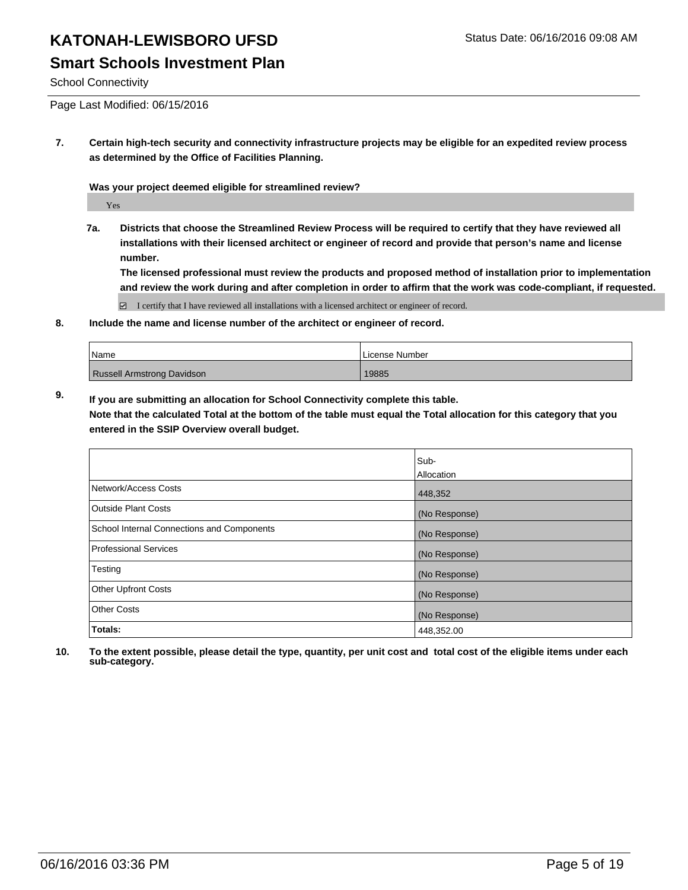#### **Smart Schools Investment Plan**

School Connectivity

Page Last Modified: 06/15/2016

**7. Certain high-tech security and connectivity infrastructure projects may be eligible for an expedited review process as determined by the Office of Facilities Planning.**

**Was your project deemed eligible for streamlined review?**

Yes

**7a. Districts that choose the Streamlined Review Process will be required to certify that they have reviewed all installations with their licensed architect or engineer of record and provide that person's name and license number.**

**The licensed professional must review the products and proposed method of installation prior to implementation and review the work during and after completion in order to affirm that the work was code-compliant, if requested.**

 $\boxtimes$  I certify that I have reviewed all installations with a licensed architect or engineer of record.

**8. Include the name and license number of the architect or engineer of record.**

| <b>Name</b>                | License Number |
|----------------------------|----------------|
| Russell Armstrong Davidson | 19885          |

**9. If you are submitting an allocation for School Connectivity complete this table. Note that the calculated Total at the bottom of the table must equal the Total allocation for this category that you entered in the SSIP Overview overall budget.** 

|                                            | Sub-          |
|--------------------------------------------|---------------|
|                                            |               |
|                                            | Allocation    |
| Network/Access Costs                       | 448,352       |
| <b>Outside Plant Costs</b>                 | (No Response) |
| School Internal Connections and Components | (No Response) |
| <b>Professional Services</b>               | (No Response) |
| Testing                                    | (No Response) |
| <b>Other Upfront Costs</b>                 | (No Response) |
| <b>Other Costs</b>                         | (No Response) |
| Totals:                                    | 448,352.00    |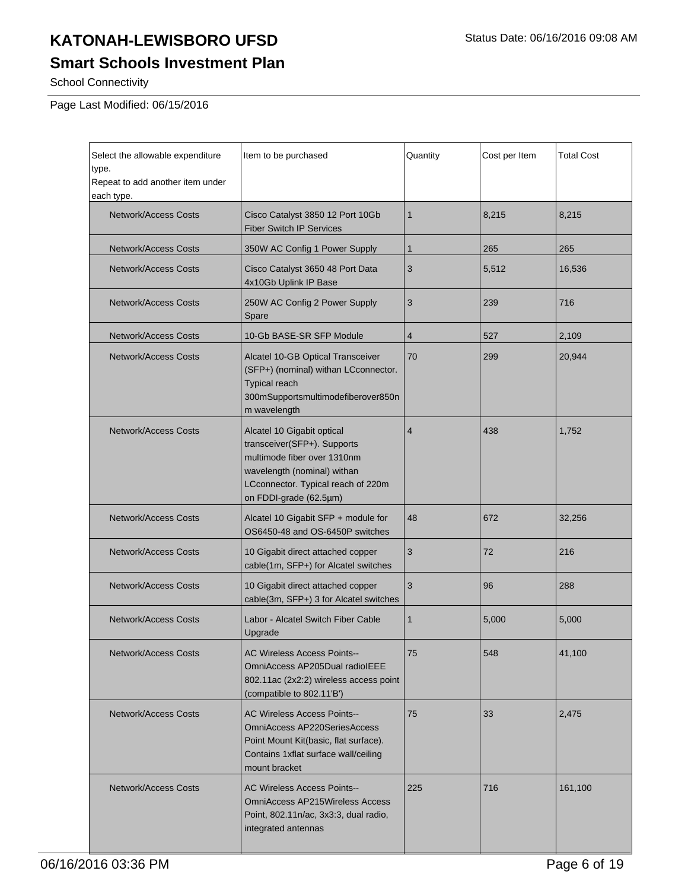### **Smart Schools Investment Plan**

School Connectivity

Page Last Modified: 06/15/2016

| Select the allowable expenditure<br>type.<br>Repeat to add another item under<br>each type.                                                                                                                     | Item to be purchased                                                                                                                                                       | Quantity       | Cost per Item | <b>Total Cost</b> |
|-----------------------------------------------------------------------------------------------------------------------------------------------------------------------------------------------------------------|----------------------------------------------------------------------------------------------------------------------------------------------------------------------------|----------------|---------------|-------------------|
| Network/Access Costs                                                                                                                                                                                            | Cisco Catalyst 3850 12 Port 10Gb<br><b>Fiber Switch IP Services</b>                                                                                                        | $\mathbf{1}$   | 8,215         | 8,215             |
| <b>Network/Access Costs</b>                                                                                                                                                                                     | 350W AC Config 1 Power Supply                                                                                                                                              | $\mathbf{1}$   | 265           | 265               |
| <b>Network/Access Costs</b>                                                                                                                                                                                     | Cisco Catalyst 3650 48 Port Data<br>4x10Gb Uplink IP Base                                                                                                                  | 3              | 5,512         | 16,536            |
| <b>Network/Access Costs</b>                                                                                                                                                                                     | 250W AC Config 2 Power Supply<br>Spare                                                                                                                                     | 3              | 239           | 716               |
| <b>Network/Access Costs</b>                                                                                                                                                                                     | 10-Gb BASE-SR SFP Module                                                                                                                                                   | 4              | 527           | 2,109             |
| <b>Network/Access Costs</b>                                                                                                                                                                                     | Alcatel 10-GB Optical Transceiver<br>(SFP+) (nominal) withan LCconnector.<br><b>Typical reach</b><br>300mSupportsmultimodefiberover850n<br>m wavelength                    | 70             | 299           | 20,944            |
| Network/Access Costs<br>Alcatel 10 Gigabit optical<br>transceiver(SFP+). Supports<br>multimode fiber over 1310nm<br>wavelength (nominal) withan<br>LCconnector. Typical reach of 220m<br>on FDDI-grade (62.5µm) |                                                                                                                                                                            | $\overline{4}$ | 438           | 1,752             |
| <b>Network/Access Costs</b>                                                                                                                                                                                     | Alcatel 10 Gigabit SFP + module for<br>48<br>OS6450-48 and OS-6450P switches                                                                                               |                | 672           | 32,256            |
| Network/Access Costs                                                                                                                                                                                            | 3<br>10 Gigabit direct attached copper<br>cable(1m, SFP+) for Alcatel switches                                                                                             |                | 72            | 216               |
| Network/Access Costs                                                                                                                                                                                            | 10 Gigabit direct attached copper<br>cable(3m, SFP+) 3 for Alcatel switches                                                                                                | 3              | 96            | 288               |
| Network/Access Costs                                                                                                                                                                                            | Labor - Alcatel Switch Fiber Cable<br>Upgrade                                                                                                                              | $\mathbf{1}$   | 5,000         | 5,000             |
| <b>Network/Access Costs</b><br><b>AC Wireless Access Points--</b><br>OmniAccess AP205Dual radioIEEE<br>802.11ac (2x2:2) wireless access point<br>(compatible to 802.11'B')                                      |                                                                                                                                                                            | 75             | 548           | 41,100            |
| <b>Network/Access Costs</b>                                                                                                                                                                                     | <b>AC Wireless Access Points--</b><br>75<br>OmniAccess AP220SeriesAccess<br>Point Mount Kit(basic, flat surface).<br>Contains 1xflat surface wall/ceiling<br>mount bracket |                | 33            | 2,475             |
| Network/Access Costs                                                                                                                                                                                            | <b>AC Wireless Access Points--</b><br>225<br><b>OmniAccess AP215Wireless Access</b><br>Point, 802.11n/ac, 3x3:3, dual radio,<br>integrated antennas                        |                | 716           | 161,100           |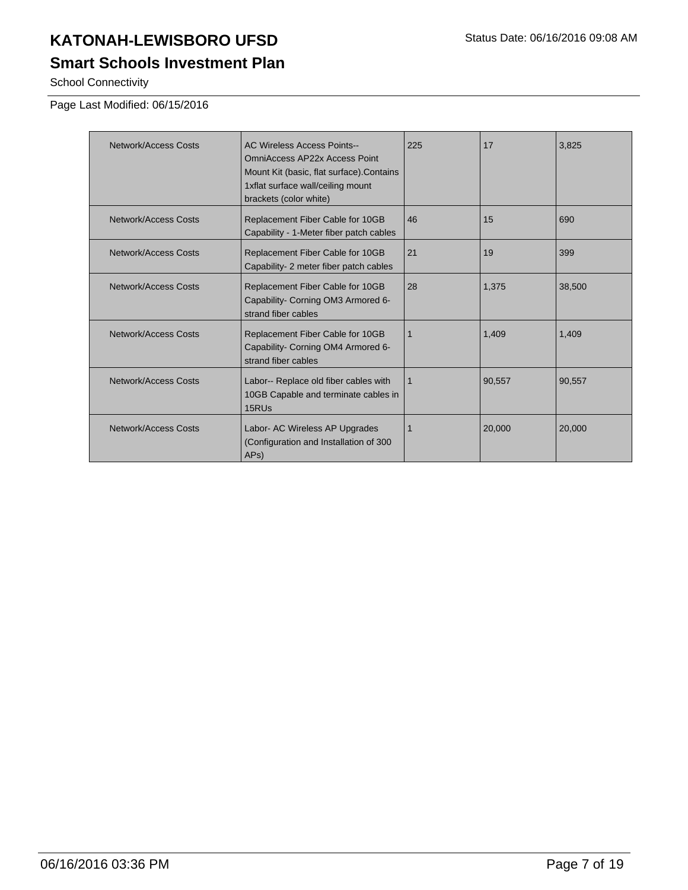School Connectivity

#### Page Last Modified: 06/15/2016

| Network/Access Costs | <b>AC Wireless Access Points--</b><br>OmniAccess AP22x Access Point<br>Mount Kit (basic, flat surface). Contains<br>1xflat surface wall/ceiling mount<br>brackets (color white) | 225 | 17     | 3,825  |
|----------------------|---------------------------------------------------------------------------------------------------------------------------------------------------------------------------------|-----|--------|--------|
| Network/Access Costs | Replacement Fiber Cable for 10GB<br>Capability - 1-Meter fiber patch cables                                                                                                     | 46  | 15     | 690    |
| Network/Access Costs | Replacement Fiber Cable for 10GB<br>Capability-2 meter fiber patch cables                                                                                                       | 21  | 19     | 399    |
| Network/Access Costs | Replacement Fiber Cable for 10GB<br>Capability- Corning OM3 Armored 6-<br>strand fiber cables                                                                                   | 28  | 1,375  | 38,500 |
| Network/Access Costs | Replacement Fiber Cable for 10GB<br>Capability- Corning OM4 Armored 6-<br>strand fiber cables                                                                                   | 1   | 1.409  | 1.409  |
| Network/Access Costs | Labor-- Replace old fiber cables with<br>10GB Capable and terminate cables in<br>15RU <sub>s</sub>                                                                              | 1   | 90,557 | 90,557 |
| Network/Access Costs | Labor- AC Wireless AP Upgrades<br>(Configuration and Installation of 300<br>APs                                                                                                 |     | 20,000 | 20,000 |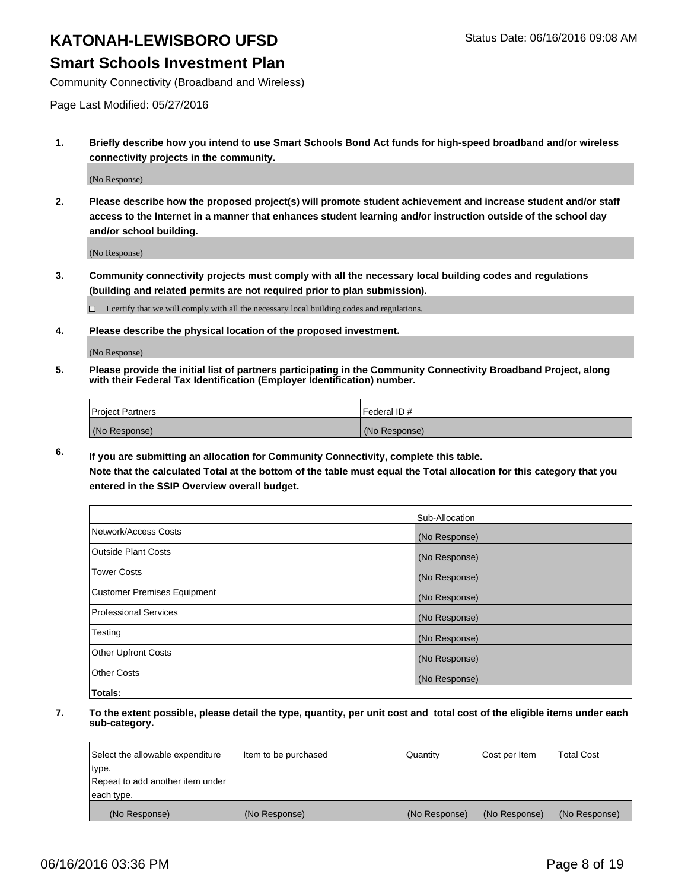#### **Smart Schools Investment Plan**

Community Connectivity (Broadband and Wireless)

Page Last Modified: 05/27/2016

**1. Briefly describe how you intend to use Smart Schools Bond Act funds for high-speed broadband and/or wireless connectivity projects in the community.**

(No Response)

**2. Please describe how the proposed project(s) will promote student achievement and increase student and/or staff access to the Internet in a manner that enhances student learning and/or instruction outside of the school day and/or school building.**

(No Response)

**3. Community connectivity projects must comply with all the necessary local building codes and regulations (building and related permits are not required prior to plan submission).**

 $\Box$  I certify that we will comply with all the necessary local building codes and regulations.

**4. Please describe the physical location of the proposed investment.**

(No Response)

**5. Please provide the initial list of partners participating in the Community Connectivity Broadband Project, along with their Federal Tax Identification (Employer Identification) number.**

| Project Partners | I Federal ID # |
|------------------|----------------|
| (No Response)    | (No Response)  |

**6. If you are submitting an allocation for Community Connectivity, complete this table.**

**Note that the calculated Total at the bottom of the table must equal the Total allocation for this category that you entered in the SSIP Overview overall budget.**

|                             | Sub-Allocation |
|-----------------------------|----------------|
| Network/Access Costs        | (No Response)  |
| Outside Plant Costs         | (No Response)  |
| <b>Tower Costs</b>          | (No Response)  |
| Customer Premises Equipment | (No Response)  |
| Professional Services       | (No Response)  |
| Testing                     | (No Response)  |
| Other Upfront Costs         | (No Response)  |
| Other Costs                 | (No Response)  |
| Totals:                     |                |

| Select the allowable expenditure | Item to be purchased | Quantity      | Cost per Item | <b>Total Cost</b> |
|----------------------------------|----------------------|---------------|---------------|-------------------|
| type.                            |                      |               |               |                   |
| Repeat to add another item under |                      |               |               |                   |
| each type.                       |                      |               |               |                   |
| (No Response)                    | (No Response)        | (No Response) | (No Response) | (No Response)     |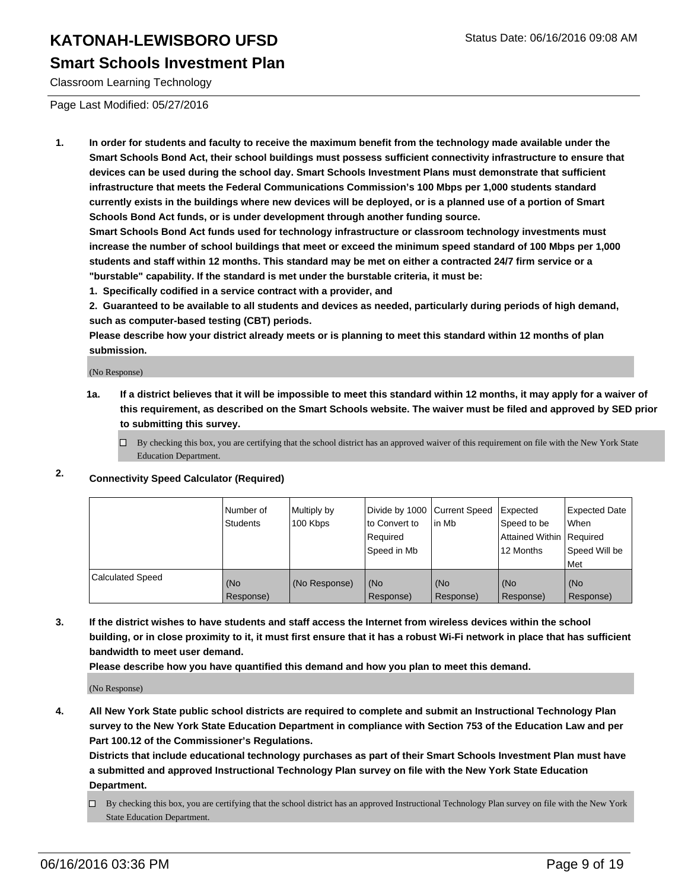#### **Smart Schools Investment Plan**

Classroom Learning Technology

Page Last Modified: 05/27/2016

**1. In order for students and faculty to receive the maximum benefit from the technology made available under the Smart Schools Bond Act, their school buildings must possess sufficient connectivity infrastructure to ensure that devices can be used during the school day. Smart Schools Investment Plans must demonstrate that sufficient infrastructure that meets the Federal Communications Commission's 100 Mbps per 1,000 students standard currently exists in the buildings where new devices will be deployed, or is a planned use of a portion of Smart Schools Bond Act funds, or is under development through another funding source.**

**Smart Schools Bond Act funds used for technology infrastructure or classroom technology investments must increase the number of school buildings that meet or exceed the minimum speed standard of 100 Mbps per 1,000 students and staff within 12 months. This standard may be met on either a contracted 24/7 firm service or a "burstable" capability. If the standard is met under the burstable criteria, it must be:**

**1. Specifically codified in a service contract with a provider, and**

**2. Guaranteed to be available to all students and devices as needed, particularly during periods of high demand, such as computer-based testing (CBT) periods.**

**Please describe how your district already meets or is planning to meet this standard within 12 months of plan submission.**

(No Response)

- **1a. If a district believes that it will be impossible to meet this standard within 12 months, it may apply for a waiver of this requirement, as described on the Smart Schools website. The waiver must be filed and approved by SED prior to submitting this survey.**
	- $\Box$  By checking this box, you are certifying that the school district has an approved waiver of this requirement on file with the New York State Education Department.
- **2. Connectivity Speed Calculator (Required)**

|                         | l Number of<br>Students | Multiply by<br>100 Kbps | Ito Convert to<br>l Reauired<br>Speed in Mb | Divide by 1000 Current Speed Expected<br>l in Mb | Speed to be<br><b>Attained Within Required</b><br>12 Months | <b>Expected Date</b><br>When<br>Speed Will be<br>Met |
|-------------------------|-------------------------|-------------------------|---------------------------------------------|--------------------------------------------------|-------------------------------------------------------------|------------------------------------------------------|
| <b>Calculated Speed</b> | (No<br>Response)        | (No Response)           | (No<br>Response)                            | (No<br>Response)                                 | (No<br>Response)                                            | (No<br>Response)                                     |

**3. If the district wishes to have students and staff access the Internet from wireless devices within the school building, or in close proximity to it, it must first ensure that it has a robust Wi-Fi network in place that has sufficient bandwidth to meet user demand.**

**Please describe how you have quantified this demand and how you plan to meet this demand.**

(No Response)

**4. All New York State public school districts are required to complete and submit an Instructional Technology Plan survey to the New York State Education Department in compliance with Section 753 of the Education Law and per Part 100.12 of the Commissioner's Regulations.**

**Districts that include educational technology purchases as part of their Smart Schools Investment Plan must have a submitted and approved Instructional Technology Plan survey on file with the New York State Education Department.**

By checking this box, you are certifying that the school district has an approved Instructional Technology Plan survey on file with the New York State Education Department.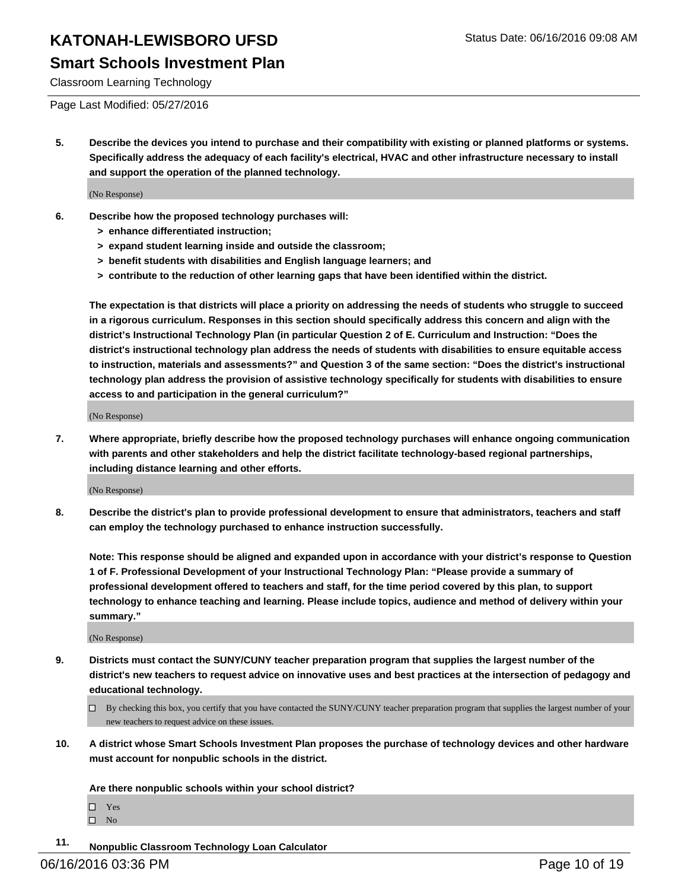Classroom Learning Technology

Page Last Modified: 05/27/2016

**5. Describe the devices you intend to purchase and their compatibility with existing or planned platforms or systems. Specifically address the adequacy of each facility's electrical, HVAC and other infrastructure necessary to install and support the operation of the planned technology.**

(No Response)

- **6. Describe how the proposed technology purchases will:**
	- **> enhance differentiated instruction;**
	- **> expand student learning inside and outside the classroom;**
	- **> benefit students with disabilities and English language learners; and**
	- **> contribute to the reduction of other learning gaps that have been identified within the district.**

**The expectation is that districts will place a priority on addressing the needs of students who struggle to succeed in a rigorous curriculum. Responses in this section should specifically address this concern and align with the district's Instructional Technology Plan (in particular Question 2 of E. Curriculum and Instruction: "Does the district's instructional technology plan address the needs of students with disabilities to ensure equitable access to instruction, materials and assessments?" and Question 3 of the same section: "Does the district's instructional technology plan address the provision of assistive technology specifically for students with disabilities to ensure access to and participation in the general curriculum?"**

(No Response)

**7. Where appropriate, briefly describe how the proposed technology purchases will enhance ongoing communication with parents and other stakeholders and help the district facilitate technology-based regional partnerships, including distance learning and other efforts.**

(No Response)

**8. Describe the district's plan to provide professional development to ensure that administrators, teachers and staff can employ the technology purchased to enhance instruction successfully.**

**Note: This response should be aligned and expanded upon in accordance with your district's response to Question 1 of F. Professional Development of your Instructional Technology Plan: "Please provide a summary of professional development offered to teachers and staff, for the time period covered by this plan, to support technology to enhance teaching and learning. Please include topics, audience and method of delivery within your summary."**

(No Response)

- **9. Districts must contact the SUNY/CUNY teacher preparation program that supplies the largest number of the district's new teachers to request advice on innovative uses and best practices at the intersection of pedagogy and educational technology.**
	- $\Box$  By checking this box, you certify that you have contacted the SUNY/CUNY teacher preparation program that supplies the largest number of your new teachers to request advice on these issues.
- **10. A district whose Smart Schools Investment Plan proposes the purchase of technology devices and other hardware must account for nonpublic schools in the district.**

**Are there nonpublic schools within your school district?**

- Yes  $\hfill \square$  No
- **11. Nonpublic Classroom Technology Loan Calculator**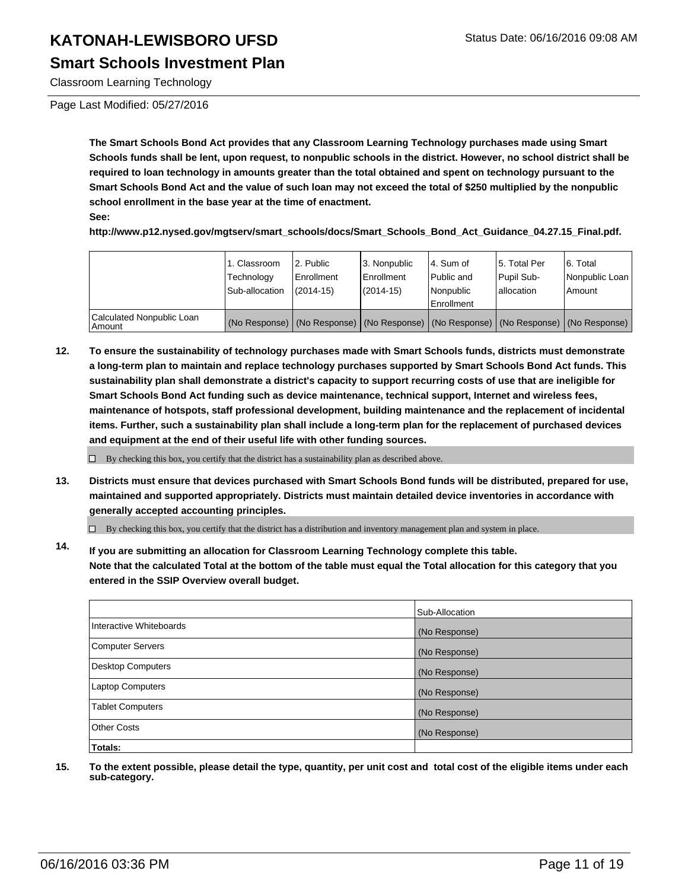Classroom Learning Technology

Page Last Modified: 05/27/2016

**The Smart Schools Bond Act provides that any Classroom Learning Technology purchases made using Smart Schools funds shall be lent, upon request, to nonpublic schools in the district. However, no school district shall be required to loan technology in amounts greater than the total obtained and spent on technology pursuant to the Smart Schools Bond Act and the value of such loan may not exceed the total of \$250 multiplied by the nonpublic school enrollment in the base year at the time of enactment.**

**See:**

**http://www.p12.nysed.gov/mgtserv/smart\_schools/docs/Smart\_Schools\_Bond\_Act\_Guidance\_04.27.15\_Final.pdf.**

|                                     | 1. Classroom<br>Technology<br>Sub-allocation | 2. Public<br>Enrollment<br>$(2014 - 15)$ | 3. Nonpublic<br><b>Enrollment</b><br>$(2014 - 15)$ | l 4. Sum of<br>l Public and<br>Nonpublic<br>Enrollment | 5. Total Per<br>Pupil Sub-<br>lallocation | 6. Total<br>Nonpublic Loan<br>Amount                                                |
|-------------------------------------|----------------------------------------------|------------------------------------------|----------------------------------------------------|--------------------------------------------------------|-------------------------------------------|-------------------------------------------------------------------------------------|
| Calculated Nonpublic Loan<br>Amount |                                              |                                          |                                                    |                                                        |                                           | (No Response) (No Response) (No Response) (No Response) (No Response) (No Response) |

**12. To ensure the sustainability of technology purchases made with Smart Schools funds, districts must demonstrate a long-term plan to maintain and replace technology purchases supported by Smart Schools Bond Act funds. This sustainability plan shall demonstrate a district's capacity to support recurring costs of use that are ineligible for Smart Schools Bond Act funding such as device maintenance, technical support, Internet and wireless fees, maintenance of hotspots, staff professional development, building maintenance and the replacement of incidental items. Further, such a sustainability plan shall include a long-term plan for the replacement of purchased devices and equipment at the end of their useful life with other funding sources.**

 $\Box$  By checking this box, you certify that the district has a sustainability plan as described above.

**13. Districts must ensure that devices purchased with Smart Schools Bond funds will be distributed, prepared for use, maintained and supported appropriately. Districts must maintain detailed device inventories in accordance with generally accepted accounting principles.**

 $\Box$  By checking this box, you certify that the district has a distribution and inventory management plan and system in place.

**14. If you are submitting an allocation for Classroom Learning Technology complete this table. Note that the calculated Total at the bottom of the table must equal the Total allocation for this category that you entered in the SSIP Overview overall budget.**

|                          | Sub-Allocation |
|--------------------------|----------------|
| Interactive Whiteboards  | (No Response)  |
| Computer Servers         | (No Response)  |
| <b>Desktop Computers</b> | (No Response)  |
| <b>Laptop Computers</b>  | (No Response)  |
| <b>Tablet Computers</b>  | (No Response)  |
| Other Costs              | (No Response)  |
| Totals:                  |                |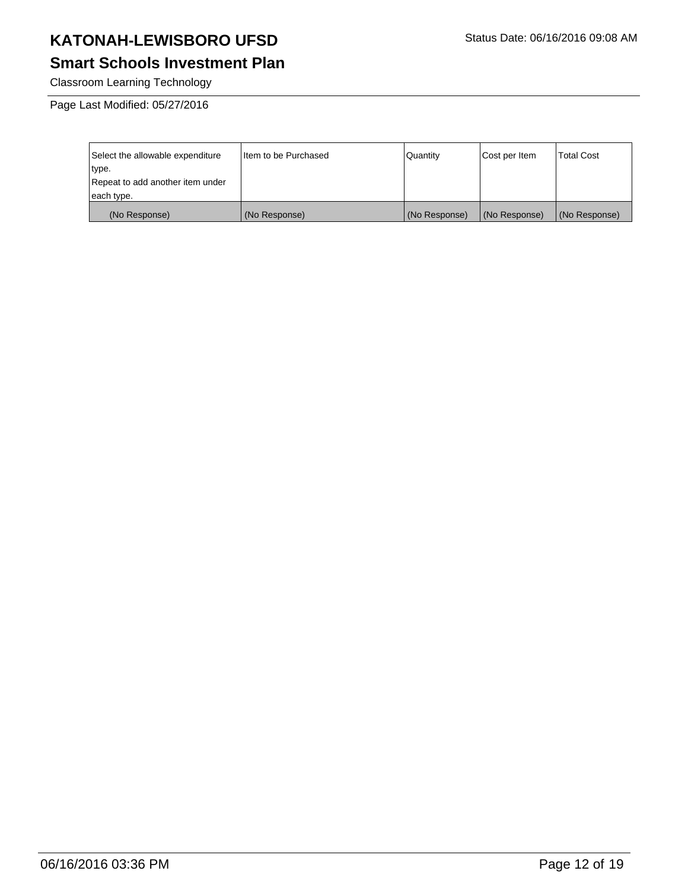#### **Smart Schools Investment Plan**

Classroom Learning Technology

| Select the allowable expenditure | I Item to be Purchased | <b>Quantity</b> | Cost per Item | <b>Total Cost</b> |
|----------------------------------|------------------------|-----------------|---------------|-------------------|
| type.                            |                        |                 |               |                   |
| Repeat to add another item under |                        |                 |               |                   |
| each type.                       |                        |                 |               |                   |
| (No Response)                    | (No Response)          | (No Response)   | (No Response) | (No Response)     |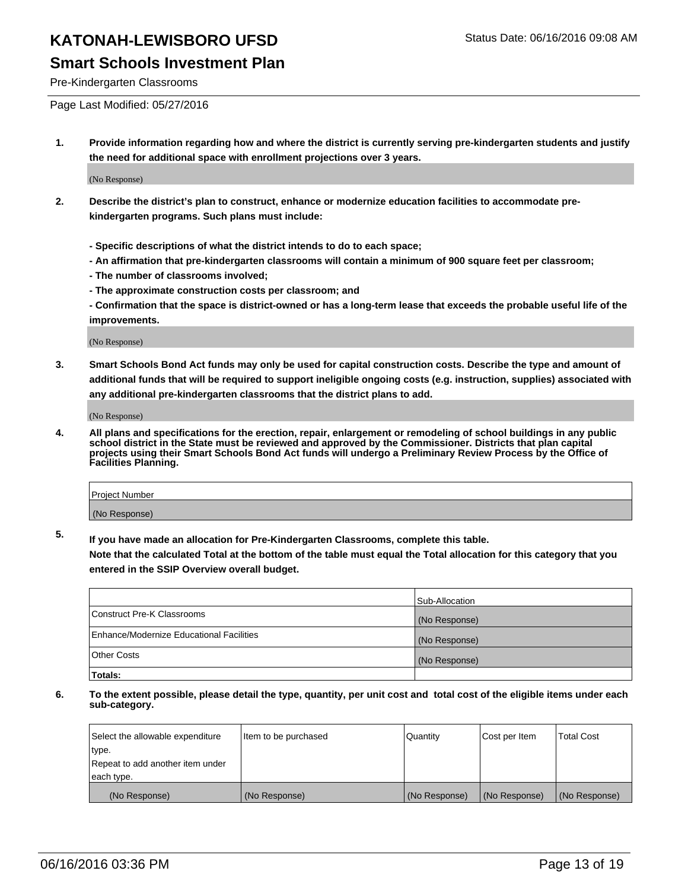Pre-Kindergarten Classrooms

Page Last Modified: 05/27/2016

**1. Provide information regarding how and where the district is currently serving pre-kindergarten students and justify the need for additional space with enrollment projections over 3 years.**

(No Response)

- **2. Describe the district's plan to construct, enhance or modernize education facilities to accommodate prekindergarten programs. Such plans must include:**
	- **Specific descriptions of what the district intends to do to each space;**
	- **An affirmation that pre-kindergarten classrooms will contain a minimum of 900 square feet per classroom;**
	- **The number of classrooms involved;**
	- **The approximate construction costs per classroom; and**
	- **Confirmation that the space is district-owned or has a long-term lease that exceeds the probable useful life of the improvements.**

(No Response)

**3. Smart Schools Bond Act funds may only be used for capital construction costs. Describe the type and amount of additional funds that will be required to support ineligible ongoing costs (e.g. instruction, supplies) associated with any additional pre-kindergarten classrooms that the district plans to add.**

(No Response)

**4. All plans and specifications for the erection, repair, enlargement or remodeling of school buildings in any public school district in the State must be reviewed and approved by the Commissioner. Districts that plan capital projects using their Smart Schools Bond Act funds will undergo a Preliminary Review Process by the Office of Facilities Planning.**

| Project Number |  |
|----------------|--|
| (No Response)  |  |

**5. If you have made an allocation for Pre-Kindergarten Classrooms, complete this table.**

**Note that the calculated Total at the bottom of the table must equal the Total allocation for this category that you entered in the SSIP Overview overall budget.**

|                                          | Sub-Allocation |
|------------------------------------------|----------------|
| Construct Pre-K Classrooms               | (No Response)  |
| Enhance/Modernize Educational Facilities | (No Response)  |
| Other Costs                              | (No Response)  |
| Totals:                                  |                |

| Select the allowable expenditure | Item to be purchased | Quantity      | Cost per Item | <b>Total Cost</b> |
|----------------------------------|----------------------|---------------|---------------|-------------------|
| type.                            |                      |               |               |                   |
| Repeat to add another item under |                      |               |               |                   |
| each type.                       |                      |               |               |                   |
| (No Response)                    | (No Response)        | (No Response) | (No Response) | (No Response)     |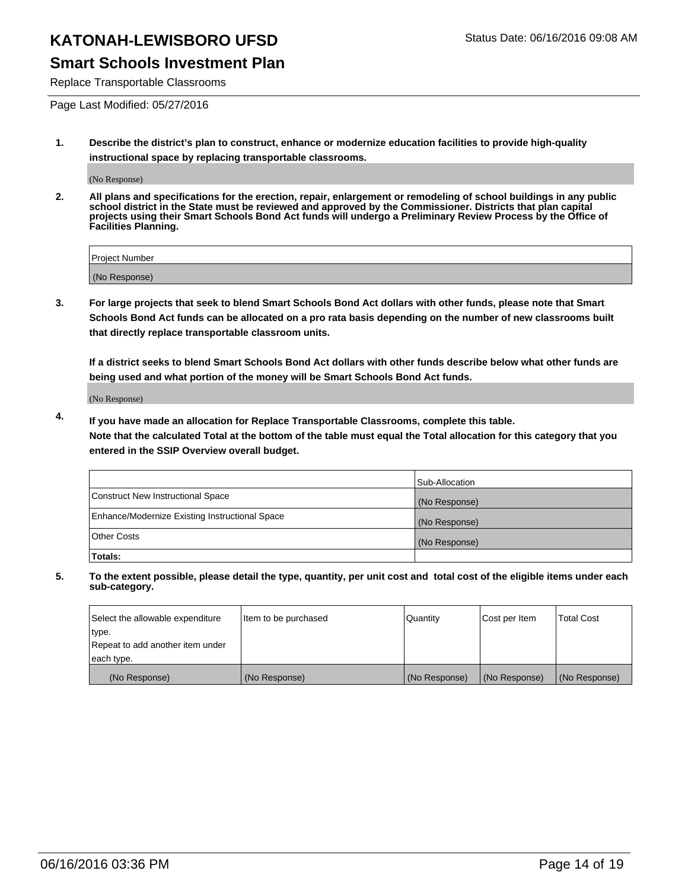#### **Smart Schools Investment Plan**

Replace Transportable Classrooms

Page Last Modified: 05/27/2016

**1. Describe the district's plan to construct, enhance or modernize education facilities to provide high-quality instructional space by replacing transportable classrooms.**

(No Response)

**2. All plans and specifications for the erection, repair, enlargement or remodeling of school buildings in any public school district in the State must be reviewed and approved by the Commissioner. Districts that plan capital projects using their Smart Schools Bond Act funds will undergo a Preliminary Review Process by the Office of Facilities Planning.**

| <b>Project Number</b> |  |
|-----------------------|--|
| (No Response)         |  |

**3. For large projects that seek to blend Smart Schools Bond Act dollars with other funds, please note that Smart Schools Bond Act funds can be allocated on a pro rata basis depending on the number of new classrooms built that directly replace transportable classroom units.**

**If a district seeks to blend Smart Schools Bond Act dollars with other funds describe below what other funds are being used and what portion of the money will be Smart Schools Bond Act funds.**

(No Response)

**4. If you have made an allocation for Replace Transportable Classrooms, complete this table. Note that the calculated Total at the bottom of the table must equal the Total allocation for this category that you entered in the SSIP Overview overall budget.**

|                                                | Sub-Allocation |
|------------------------------------------------|----------------|
| Construct New Instructional Space              | (No Response)  |
| Enhance/Modernize Existing Instructional Space | (No Response)  |
| <b>Other Costs</b>                             | (No Response)  |
| Totals:                                        |                |

| Select the allowable expenditure | Item to be purchased | <b>Quantity</b> | Cost per Item | <b>Total Cost</b> |
|----------------------------------|----------------------|-----------------|---------------|-------------------|
| type.                            |                      |                 |               |                   |
| Repeat to add another item under |                      |                 |               |                   |
| each type.                       |                      |                 |               |                   |
| (No Response)                    | (No Response)        | (No Response)   | (No Response) | (No Response)     |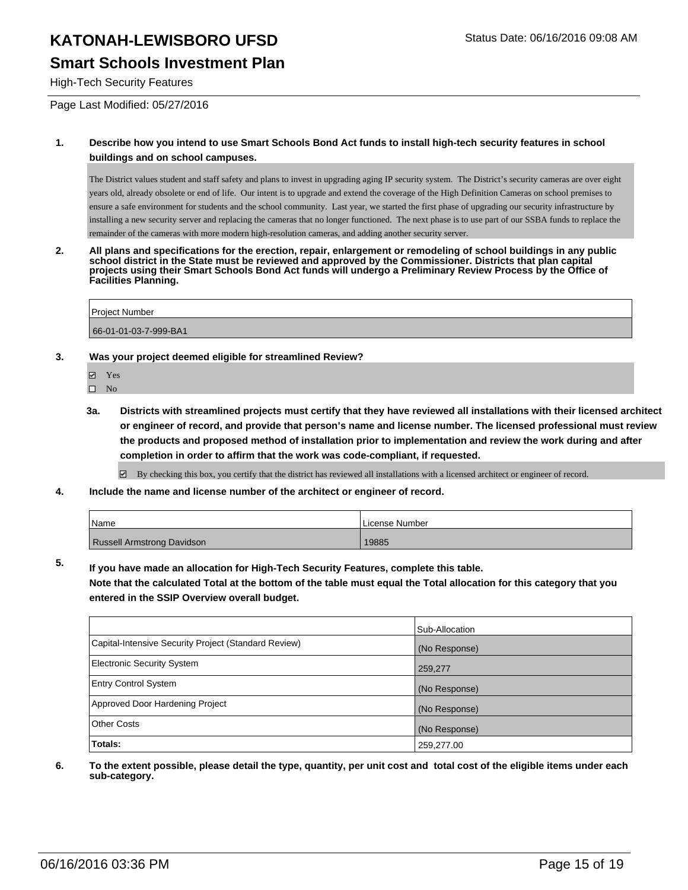#### **Smart Schools Investment Plan**

High-Tech Security Features

Page Last Modified: 05/27/2016

#### **1. Describe how you intend to use Smart Schools Bond Act funds to install high-tech security features in school buildings and on school campuses.**

The District values student and staff safety and plans to invest in upgrading aging IP security system. The District's security cameras are over eight years old, already obsolete or end of life. Our intent is to upgrade and extend the coverage of the High Definition Cameras on school premises to ensure a safe environment for students and the school community. Last year, we started the first phase of upgrading our security infrastructure by installing a new security server and replacing the cameras that no longer functioned. The next phase is to use part of our SSBA funds to replace the remainder of the cameras with more modern high-resolution cameras, and adding another security server.

**2. All plans and specifications for the erection, repair, enlargement or remodeling of school buildings in any public school district in the State must be reviewed and approved by the Commissioner. Districts that plan capital projects using their Smart Schools Bond Act funds will undergo a Preliminary Review Process by the Office of Facilities Planning.** 

Project Number 66-01-01-03-7-999-BA1

#### **3. Was your project deemed eligible for streamlined Review?**

- **☑** Yes
- $\square$  No
- **3a. Districts with streamlined projects must certify that they have reviewed all installations with their licensed architect or engineer of record, and provide that person's name and license number. The licensed professional must review the products and proposed method of installation prior to implementation and review the work during and after completion in order to affirm that the work was code-compliant, if requested.**

By checking this box, you certify that the district has reviewed all installations with a licensed architect or engineer of record.

**4. Include the name and license number of the architect or engineer of record.**

| l Name                            | License Number |
|-----------------------------------|----------------|
| <b>Russell Armstrong Davidson</b> | 19885          |

**5. If you have made an allocation for High-Tech Security Features, complete this table.**

**Note that the calculated Total at the bottom of the table must equal the Total allocation for this category that you entered in the SSIP Overview overall budget.**

|                                                      | Sub-Allocation |
|------------------------------------------------------|----------------|
| Capital-Intensive Security Project (Standard Review) | (No Response)  |
| <b>Electronic Security System</b>                    | 259,277        |
| <b>Entry Control System</b>                          | (No Response)  |
| Approved Door Hardening Project                      | (No Response)  |
| <b>Other Costs</b>                                   | (No Response)  |
| Totals:                                              | 259,277.00     |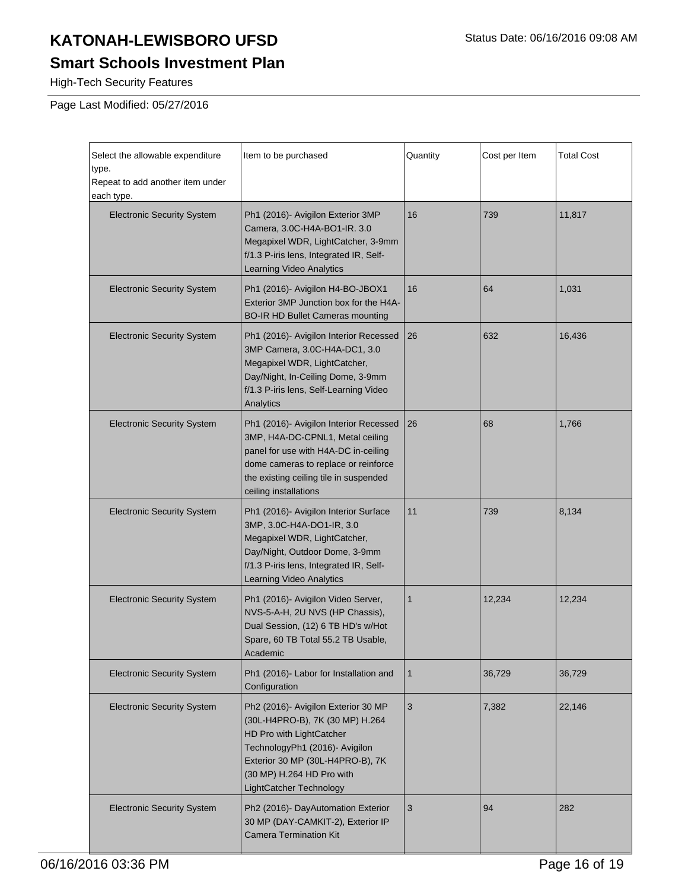#### **Smart Schools Investment Plan**

High-Tech Security Features

| Select the allowable expenditure<br>type.<br>Repeat to add another item under<br>each type. | Item to be purchased                                                                                                                                                                                                             | Quantity     | Cost per Item | <b>Total Cost</b> |
|---------------------------------------------------------------------------------------------|----------------------------------------------------------------------------------------------------------------------------------------------------------------------------------------------------------------------------------|--------------|---------------|-------------------|
| <b>Electronic Security System</b>                                                           | Ph1 (2016)- Avigilon Exterior 3MP<br>Camera, 3.0C-H4A-BO1-IR. 3.0<br>Megapixel WDR, LightCatcher, 3-9mm<br>f/1.3 P-iris lens, Integrated IR, Self-<br><b>Learning Video Analytics</b>                                            | 16           | 739           | 11,817            |
| <b>Electronic Security System</b>                                                           | Ph1 (2016)- Avigilon H4-BO-JBOX1<br>Exterior 3MP Junction box for the H4A-<br><b>BO-IR HD Bullet Cameras mounting</b>                                                                                                            | 16           | 64            | 1,031             |
| <b>Electronic Security System</b>                                                           | Ph1 (2016)- Avigilon Interior Recessed<br>3MP Camera, 3.0C-H4A-DC1, 3.0<br>Megapixel WDR, LightCatcher,<br>Day/Night, In-Ceiling Dome, 3-9mm<br>f/1.3 P-iris lens, Self-Learning Video<br>Analytics                              | 26           | 632           | 16,436            |
| <b>Electronic Security System</b>                                                           | Ph1 (2016)- Avigilon Interior Recessed<br>3MP, H4A-DC-CPNL1, Metal ceiling<br>panel for use with H4A-DC in-ceiling<br>dome cameras to replace or reinforce<br>the existing ceiling tile in suspended<br>ceiling installations    | 26           | 68            | 1,766             |
| <b>Electronic Security System</b>                                                           | Ph1 (2016)- Avigilon Interior Surface<br>3MP, 3.0C-H4A-DO1-IR, 3.0<br>Megapixel WDR, LightCatcher,<br>Day/Night, Outdoor Dome, 3-9mm<br>f/1.3 P-iris lens, Integrated IR, Self-<br>Learning Video Analytics                      | 11           | 739           | 8,134             |
| <b>Electronic Security System</b>                                                           | Ph1 (2016)- Avigilon Video Server,<br>NVS-5-A-H, 2U NVS (HP Chassis),<br>Dual Session, (12) 6 TB HD's w/Hot<br>Spare, 60 TB Total 55.2 TB Usable,<br>Academic                                                                    | $\mathbf{1}$ | 12,234        | 12,234            |
| <b>Electronic Security System</b>                                                           | Ph1 (2016)- Labor for Installation and<br>Configuration                                                                                                                                                                          | $\mathbf{1}$ | 36,729        | 36,729            |
| <b>Electronic Security System</b>                                                           | Ph2 (2016)- Avigilon Exterior 30 MP<br>(30L-H4PRO-B), 7K (30 MP) H.264<br>HD Pro with LightCatcher<br>TechnologyPh1 (2016)- Avigilon<br>Exterior 30 MP (30L-H4PRO-B), 7K<br>(30 MP) H.264 HD Pro with<br>LightCatcher Technology | 3            | 7,382         | 22,146            |
| <b>Electronic Security System</b>                                                           | Ph2 (2016)- DayAutomation Exterior<br>30 MP (DAY-CAMKIT-2), Exterior IP<br><b>Camera Termination Kit</b>                                                                                                                         | 3            | 94            | 282               |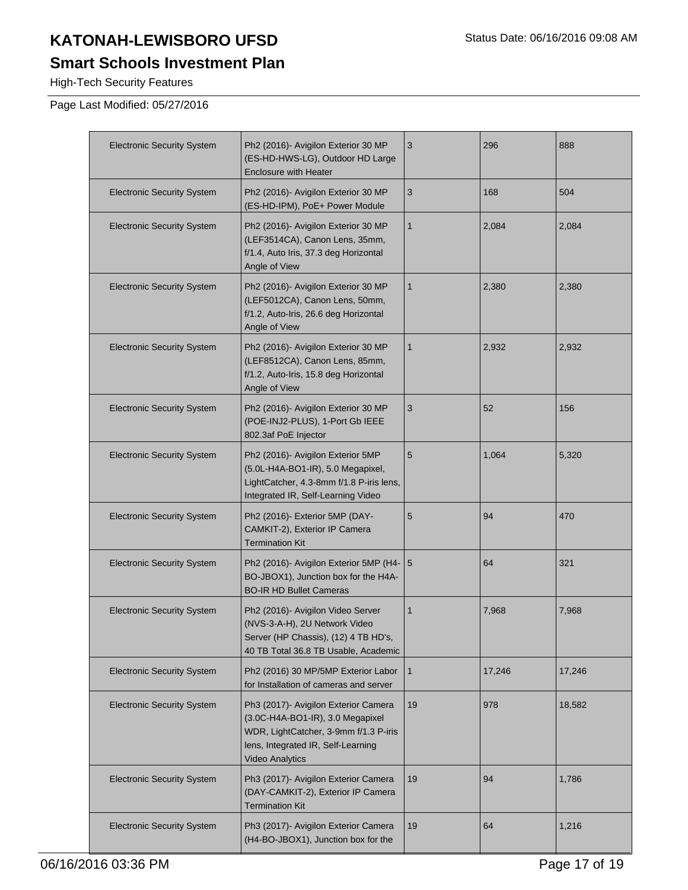#### **Smart Schools Investment Plan**

High-Tech Security Features

| <b>Electronic Security System</b> | Ph2 (2016)- Avigilon Exterior 30 MP<br>(ES-HD-HWS-LG), Outdoor HD Large<br><b>Enclosure with Heater</b>                                                                           | 3              | 296    | 888    |
|-----------------------------------|-----------------------------------------------------------------------------------------------------------------------------------------------------------------------------------|----------------|--------|--------|
| <b>Electronic Security System</b> | Ph2 (2016)- Avigilon Exterior 30 MP<br>(ES-HD-IPM), PoE+ Power Module                                                                                                             | $\sqrt{3}$     | 168    | 504    |
| <b>Electronic Security System</b> | Ph2 (2016)- Avigilon Exterior 30 MP<br>(LEF3514CA), Canon Lens, 35mm,<br>f/1.4, Auto Iris, 37.3 deg Horizontal<br>Angle of View                                                   | $\mathbf{1}$   | 2,084  | 2,084  |
| <b>Electronic Security System</b> | Ph2 (2016)- Avigilon Exterior 30 MP<br>(LEF5012CA), Canon Lens, 50mm,<br>f/1.2, Auto-Iris, 26.6 deg Horizontal<br>Angle of View                                                   | $\mathbf{1}$   | 2,380  | 2,380  |
| <b>Electronic Security System</b> | Ph2 (2016)- Avigilon Exterior 30 MP<br>(LEF8512CA), Canon Lens, 85mm,<br>f/1.2, Auto-Iris, 15.8 deg Horizontal<br>Angle of View                                                   | $\mathbf{1}$   | 2,932  | 2,932  |
| <b>Electronic Security System</b> | Ph2 (2016)- Avigilon Exterior 30 MP<br>(POE-INJ2-PLUS), 1-Port Gb IEEE<br>802.3af PoE Injector                                                                                    | 3              | 52     | 156    |
| <b>Electronic Security System</b> | Ph2 (2016)- Avigilon Exterior 5MP<br>(5.0L-H4A-BO1-IR), 5.0 Megapixel,<br>LightCatcher, 4.3-8mm f/1.8 P-iris lens,<br>Integrated IR, Self-Learning Video                          | $5\phantom{1}$ | 1,064  | 5,320  |
| <b>Electronic Security System</b> | Ph2 (2016)- Exterior 5MP (DAY-<br>CAMKIT-2), Exterior IP Camera<br><b>Termination Kit</b>                                                                                         | $5\phantom{1}$ | 94     | 470    |
| <b>Electronic Security System</b> | Ph2 (2016)- Avigilon Exterior 5MP (H4-   5<br>BO-JBOX1), Junction box for the H4A-<br><b>BO-IR HD Bullet Cameras</b>                                                              |                | 64     | 321    |
| <b>Electronic Security System</b> | Ph2 (2016)- Avigilon Video Server<br>(NVS-3-A-H), 2U Network Video<br>Server (HP Chassis), (12) 4 TB HD's,<br>40 TB Total 36.8 TB Usable, Academic                                | $\mathbf{1}$   | 7,968  | 7,968  |
| <b>Electronic Security System</b> | Ph2 (2016) 30 MP/5MP Exterior Labor<br>for Installation of cameras and server                                                                                                     | $\mathbf{1}$   | 17,246 | 17,246 |
| <b>Electronic Security System</b> | Ph3 (2017)- Avigilon Exterior Camera<br>(3.0C-H4A-BO1-IR), 3.0 Megapixel<br>WDR, LightCatcher, 3-9mm f/1.3 P-iris<br>lens, Integrated IR, Self-Learning<br><b>Video Analytics</b> | 19             | 978    | 18,582 |
| <b>Electronic Security System</b> | Ph3 (2017)- Avigilon Exterior Camera<br>(DAY-CAMKIT-2), Exterior IP Camera<br><b>Termination Kit</b>                                                                              | 19             | 94     | 1,786  |
| <b>Electronic Security System</b> | Ph3 (2017)- Avigilon Exterior Camera<br>(H4-BO-JBOX1), Junction box for the                                                                                                       | 19             | 64     | 1,216  |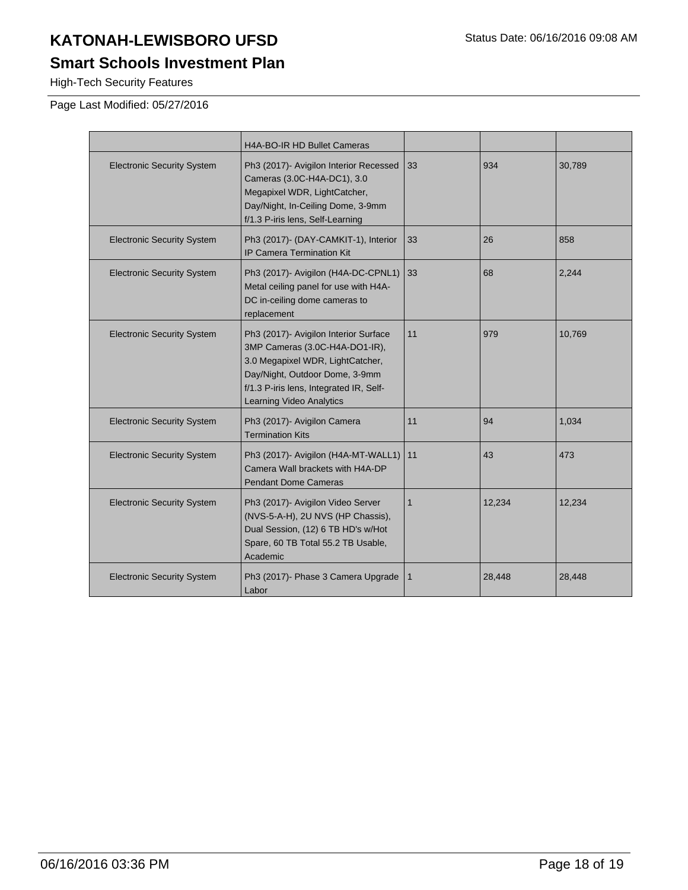## **Smart Schools Investment Plan**

High-Tech Security Features

|                                   | H4A-BO-IR HD Bullet Cameras                                                                                                                                                                                          |              |        |        |
|-----------------------------------|----------------------------------------------------------------------------------------------------------------------------------------------------------------------------------------------------------------------|--------------|--------|--------|
| <b>Electronic Security System</b> | Ph3 (2017)- Avigilon Interior Recessed<br>Cameras (3.0C-H4A-DC1), 3.0<br>Megapixel WDR, LightCatcher,<br>Day/Night, In-Ceiling Dome, 3-9mm<br>f/1.3 P-iris lens, Self-Learning                                       | 33           | 934    | 30,789 |
| <b>Electronic Security System</b> | Ph3 (2017)- (DAY-CAMKIT-1), Interior<br>IP Camera Termination Kit                                                                                                                                                    | 33           | 26     | 858    |
| <b>Electronic Security System</b> | Ph3 (2017)- Avigilon (H4A-DC-CPNL1)<br>Metal ceiling panel for use with H4A-<br>DC in-ceiling dome cameras to<br>replacement                                                                                         | 33           | 68     | 2,244  |
| <b>Electronic Security System</b> | Ph3 (2017)- Avigilon Interior Surface<br>3MP Cameras (3.0C-H4A-DO1-IR),<br>3.0 Megapixel WDR, LightCatcher,<br>Day/Night, Outdoor Dome, 3-9mm<br>f/1.3 P-iris lens, Integrated IR, Self-<br>Learning Video Analytics | 11           | 979    | 10,769 |
| <b>Electronic Security System</b> | Ph3 (2017)- Avigilon Camera<br><b>Termination Kits</b>                                                                                                                                                               | 11           | 94     | 1,034  |
| <b>Electronic Security System</b> | Ph3 (2017)- Avigilon (H4A-MT-WALL1)<br>Camera Wall brackets with H4A-DP<br><b>Pendant Dome Cameras</b>                                                                                                               | 11           | 43     | 473    |
| <b>Electronic Security System</b> | Ph3 (2017)- Avigilon Video Server<br>(NVS-5-A-H), 2U NVS (HP Chassis),<br>Dual Session, (12) 6 TB HD's w/Hot<br>Spare, 60 TB Total 55.2 TB Usable,<br>Academic                                                       | $\mathbf{1}$ | 12,234 | 12,234 |
| <b>Electronic Security System</b> | Ph3 (2017)- Phase 3 Camera Upgrade<br>Labor                                                                                                                                                                          | 1            | 28,448 | 28,448 |